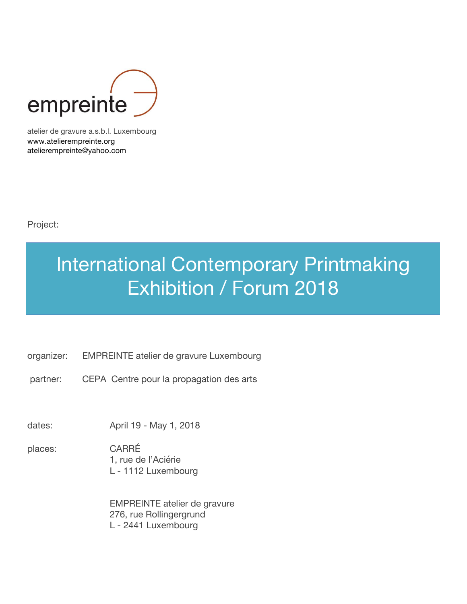

atelier de gravure a.s.b.l. Luxembourg www.atelierempreinte.org atelierempreinte@yahoo.com

Project:

# International Contemporary Printmaking Exhibition / Forum 2018

- organizer: EMPREINTE atelier de gravure Luxembourg
- partner: CEPA Centre pour la propagation des arts

dates: April 19 - May 1, 2018

places: CARRÉ 1, rue de l'Aciérie L - 1112 Luxembourg

> EMPREINTE atelier de gravure 276, rue Rollingergrund L - 2441 Luxembourg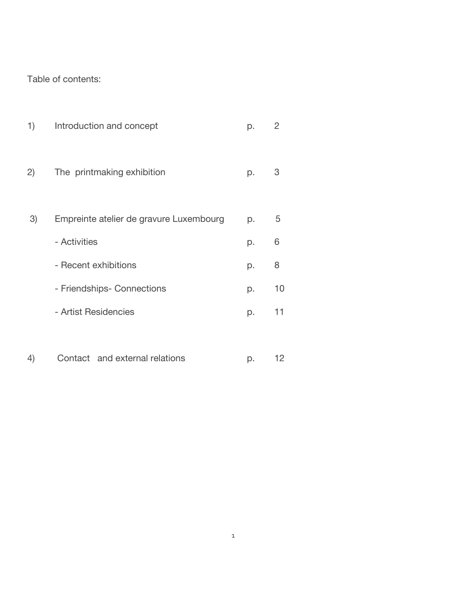Table of contents:

| 1) | Introduction and concept                | p. | $\overline{2}$ |
|----|-----------------------------------------|----|----------------|
| 2) | The printmaking exhibition              | p. | 3              |
| 3) | Empreinte atelier de gravure Luxembourg | p. | 5              |
|    | - Activities                            | p. | 6              |
|    | - Recent exhibitions                    | p. | 8              |
|    | - Friendships- Connections              | p. | 10             |
|    | - Artist Residencies                    | p. | 11             |
|    |                                         |    |                |
| 4) | Contact and external relations          | p. | 12             |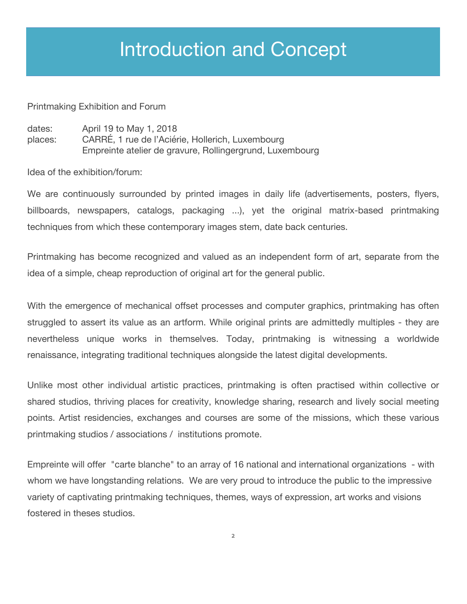## Introduction and Concept

#### Printmaking Exhibition and Forum

| dates:  | April 19 to May 1, 2018                                  |
|---------|----------------------------------------------------------|
| places: | CARRÉ, 1 rue de l'Aciérie, Hollerich, Luxembourg         |
|         | Empreinte atelier de gravure, Rollingergrund, Luxembourg |

Idea of the exhibition/forum:

We are continuously surrounded by printed images in daily life (advertisements, posters, flyers, billboards, newspapers, catalogs, packaging ...), yet the original matrix-based printmaking techniques from which these contemporary images stem, date back centuries.

Printmaking has become recognized and valued as an independent form of art, separate from the idea of a simple, cheap reproduction of original art for the general public.

With the emergence of mechanical offset processes and computer graphics, printmaking has often struggled to assert its value as an artform. While original prints are admittedly multiples - they are nevertheless unique works in themselves. Today, printmaking is witnessing a worldwide renaissance, integrating traditional techniques alongside the latest digital developments.

Unlike most other individual artistic practices, printmaking is often practised within collective or shared studios, thriving places for creativity, knowledge sharing, research and lively social meeting points. Artist residencies, exchanges and courses are some of the missions, which these various printmaking studios / associations / institutions promote.

Empreinte will offer "carte blanche" to an array of 16 national and international organizations - with whom we have longstanding relations. We are very proud to introduce the public to the impressive variety of captivating printmaking techniques, themes, ways of expression, art works and visions fostered in theses studios.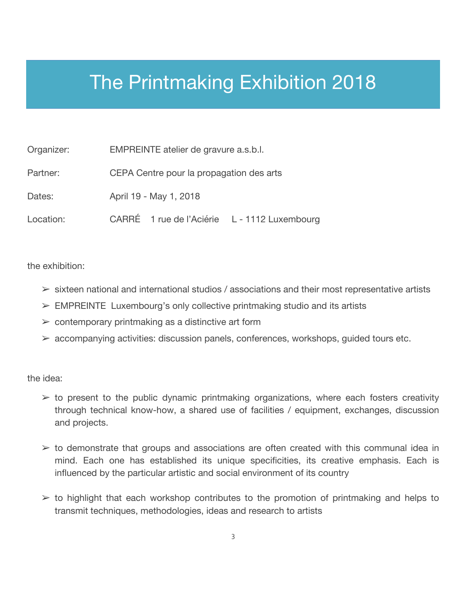## The Printmaking Exhibition 2018

| Organizer: | EMPREINTE atelier de gravure a.s.b.l.        |  |  |
|------------|----------------------------------------------|--|--|
| Partner:   | CEPA Centre pour la propagation des arts     |  |  |
| Dates:     | April 19 - May 1, 2018                       |  |  |
| Location:  | CARRÉ 1 rue de l'Aciérie L - 1112 Luxembourg |  |  |

the exhibition:

- $\triangleright$  sixteen national and international studios / associations and their most representative artists
- $\triangleright$  EMPREINTE Luxembourg's only collective printmaking studio and its artists
- $\triangleright$  contemporary printmaking as a distinctive art form
- $\triangleright$  accompanying activities: discussion panels, conferences, workshops, guided tours etc.

the idea:

- $\geq$  to present to the public dynamic printmaking organizations, where each fosters creativity through technical know-how, a shared use of facilities / equipment, exchanges, discussion and projects.
- $\geq$  to demonstrate that groups and associations are often created with this communal idea in mind. Each one has established its unique specificities, its creative emphasis. Each is influenced by the particular artistic and social environment of its country
- $\geq$  to highlight that each workshop contributes to the promotion of printmaking and helps to transmit techniques, methodologies, ideas and research to artists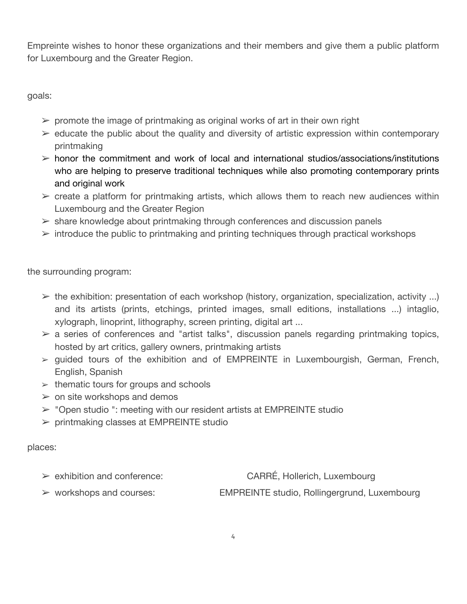Empreinte wishes to honor these organizations and their members and give them a public platform for Luxembourg and the Greater Region.

goals:

- $\triangleright$  promote the image of printmaking as original works of art in their own right
- $\triangleright$  educate the public about the quality and diversity of artistic expression within contemporary printmaking
- $\triangleright$  honor the commitment and work of local and international studios/associations/institutions who are helping to preserve traditional techniques while also promoting contemporary prints and original work
- $\triangleright$  create a platform for printmaking artists, which allows them to reach new audiences within Luxembourg and the Greater Region
- $\triangleright$  share knowledge about printmaking through conferences and discussion panels
- $\geq$  introduce the public to printmaking and printing techniques through practical workshops

the surrounding program:

- $\triangleright$  the exhibition: presentation of each workshop (history, organization, specialization, activity ...) and its artists (prints, etchings, printed images, small editions, installations ...) intaglio, xylograph, linoprint, lithography, screen printing, digital art ...
- $\geq$  a series of conferences and "artist talks", discussion panels regarding printmaking topics, hosted by art critics, gallery owners, printmaking artists
- $\ge$  guided tours of the exhibition and of EMPREINTE in Luxembourgish, German, French, English, Spanish
- $\geq$  thematic tours for groups and schools
- $\geq$  on site workshops and demos
- $\triangleright$  "Open studio ": meeting with our resident artists at EMPREINTE studio
- $\triangleright$  printmaking classes at EMPREINTE studio

#### places:

- exhibition and conference: CARRÉ, Hollerich, Luxembourg
- 

workshops and courses: EMPREINTE studio, Rollingergrund, Luxembourg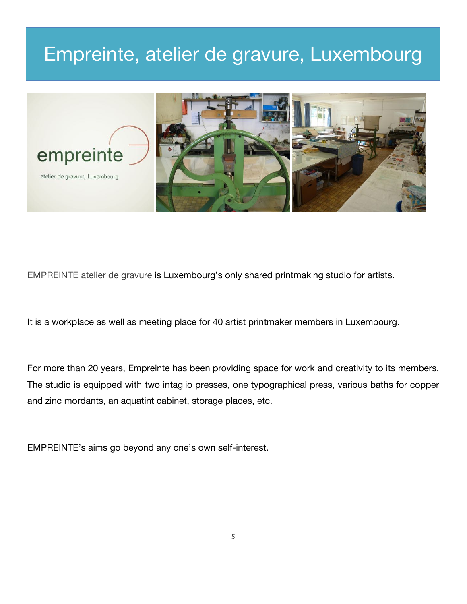### Empreinte, atelier de gravure, Luxembourg



EMPREINTE atelier de gravure is Luxembourg's only shared printmaking studio for artists.

It is a workplace as well as meeting place for 40 artist printmaker members in Luxembourg.

For more than 20 years, Empreinte has been providing space for work and creativity to its members. The studio is equipped with two intaglio presses, one typographical press, various baths for copper and zinc mordants, an aquatint cabinet, storage places, etc.

EMPREINTE's aims go beyond any one's own self-interest.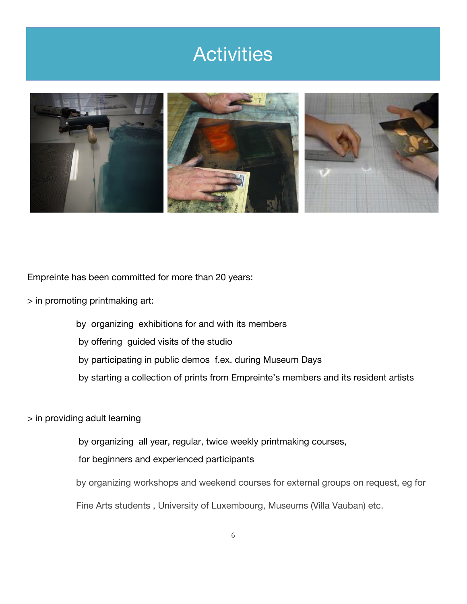### **Activities**



Empreinte has been committed for more than 20 years:

> in promoting printmaking art:

by organizing exhibitions for and with its members

by offering guided visits of the studio

by participating in public demos f.ex. during Museum Days

by starting a collection of prints from Empreinte's members and its resident artists

> in providing adult learning

by organizing all year, regular, twice weekly printmaking courses,

for beginners and experienced participants

by organizing workshops and weekend courses for external groups on request, eg for

Fine Arts students , University of Luxembourg, Museums (Villa Vauban) etc.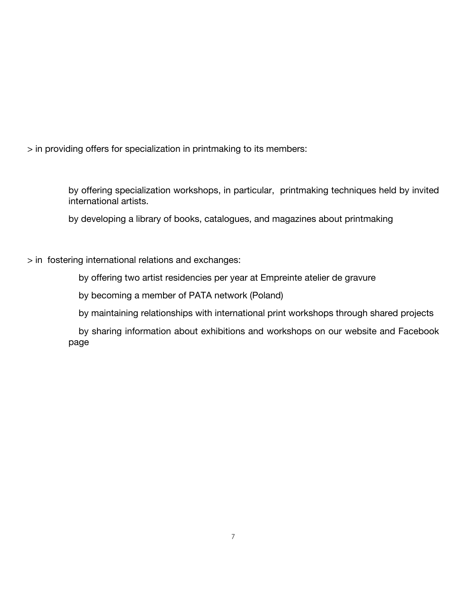> in providing offers for specialization in printmaking to its members:

by offering specialization workshops, in particular, printmaking techniques held by invited international artists.

by developing a library of books, catalogues, and magazines about printmaking

#### > in fostering international relations and exchanges:

by offering two artist residencies per year at Empreinte atelier de gravure

by becoming a member of PATA network (Poland)

by maintaining relationships with international print workshops through shared projects

 by sharing information about exhibitions and workshops on our website and Facebook page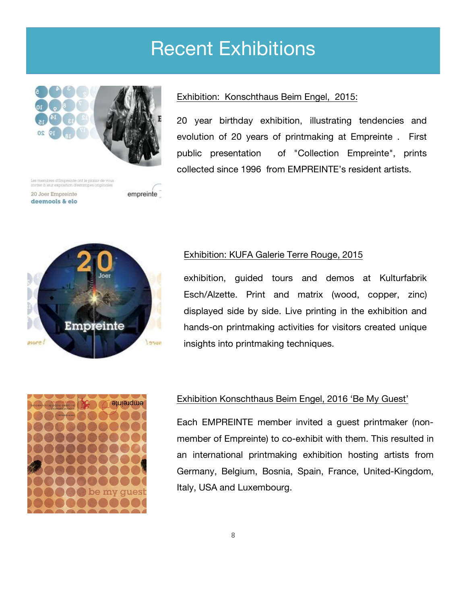### Recent Exhibitions



es membres d'Empreinte cat le plaisir de vous<br>Wike à leur exposition d'estampes originales

20 Joer Empreinte deemools & elo empreinte



#### Exhibition: Konschthaus Beim Engel, 2015:

20 year birthday exhibition, illustrating tendencies and evolution of 20 years of printmaking at Empreinte . First public presentation of "Collection Empreinte", prints collected since 1996 from EMPREINTE's resident artists.

#### Exhibition: KUFA Galerie Terre Rouge, 2015

exhibition, guided tours and demos at Kulturfabrik Esch/Alzette. Print and matrix (wood, copper, zinc) displayed side by side. Live printing in the exhibition and hands-on printmaking activities for visitors created unique insights into printmaking techniques.



#### Exhibition Konschthaus Beim Engel, 2016 'Be My Guest'

Each EMPREINTE member invited a guest printmaker (nonmember of Empreinte) to co-exhibit with them. This resulted in an international printmaking exhibition hosting artists from Germany, Belgium, Bosnia, Spain, France, United-Kingdom, Italy, USA and Luxembourg.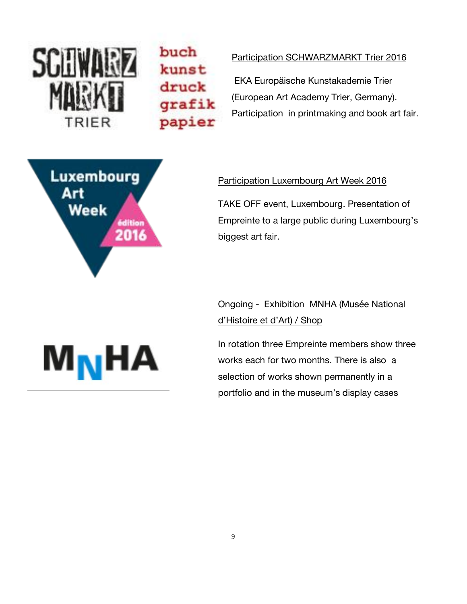

buch kunst druck grafik papier

#### Participation SCHWARZMARKT Trier 2016

EKA Europäische Kunstakademie Trier (European Art Academy Trier, Germany). Participation in printmaking and book art fair.



#### Participation Luxembourg Art Week 2016

TAKE OFF event, Luxembourg. Presentation of Empreinte to a large public during Luxembourg's biggest art fair.

### Ongoing - Exhibition MNHA (Musée National d'Histoire et d'Art) / Shop

In rotation three Empreinte members show three works each for two months. There is also a selection of works shown permanently in a portfolio and in the museum's display cases

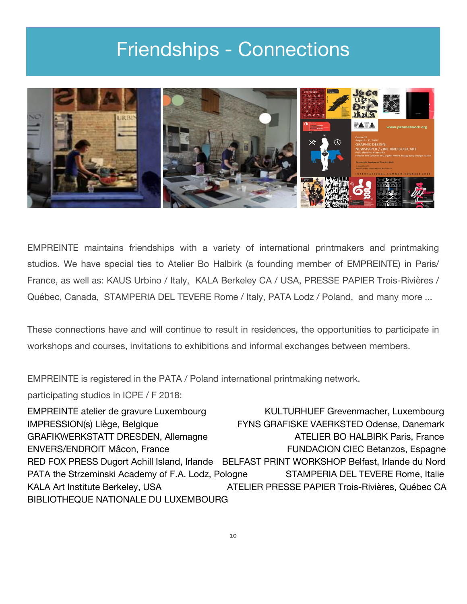### Friendships - Connections



EMPREINTE maintains friendships with a variety of international printmakers and printmaking studios. We have special ties to Atelier Bo Halbirk (a founding member of EMPREINTE) in Paris/ France, as well as: KAUS Urbino / Italy, KALA Berkeley CA / USA, PRESSE PAPIER Trois-Rivières / Québec, Canada, STAMPERIA DEL TEVERE Rome / Italy, PATA Lodz / Poland, and many more ...

These connections have and will continue to result in residences, the opportunities to participate in workshops and courses, invitations to exhibitions and informal exchanges between members.

EMPREINTE is registered in the PATA / Poland international printmaking network.

participating studios in ICPE / F 2018:

EMPREINTE atelier de gravure Luxembourg KULTURHUEF Grevenmacher, Luxembourg IMPRESSION(s) Liège, Belgique FYNS GRAFISKE VAERKSTED Odense, Danemark GRAFIKWERKSTATT DRESDEN, Allemagne ATELIER BO HALBIRK Paris, France ENVERS/ENDROIT Mâcon, France FUNDACION CIEC Betanzos, Espagne RED FOX PRESS Dugort Achill Island, Irlande BELFAST PRINT WORKSHOP Belfast, Irlande du Nord PATA the Strzeminski Academy of F.A. Lodz, Pologne STAMPERIA DEL TEVERE Rome, Italie KALA Art Institute Berkeley, USA ATELIER PRESSE PAPIER Trois-Rivières, Québec CA BIBLIOTHEQUE NATIONALE DU LUXEMBOURG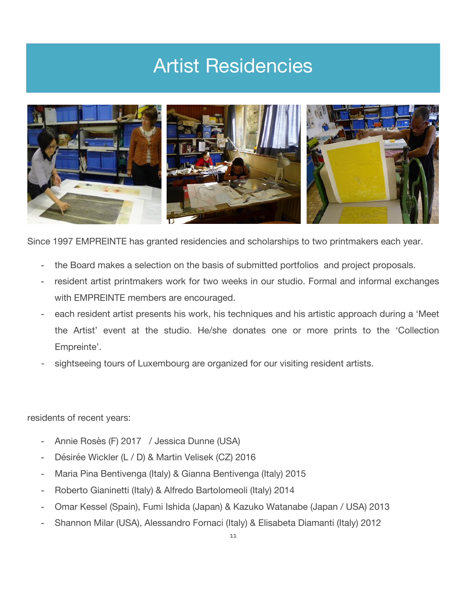## Artist Residencies



Since 1997 EMPREINTE has granted residencies and scholarships to two printmakers each year.

- the Board makes a selection on the basis of submitted portfolios and project proposals.
- resident artist printmakers work for two weeks in our studio. Formal and informal exchanges with EMPREINTE members are encouraged.
- each resident artist presents his work, his techniques and his artistic approach during a 'Meet the Artist' event at the studio. He/she donates one or more prints to the 'Collection Empreinte'.
- sightseeing tours of Luxembourg are organized for our visiting resident artists.

residents of recent years:

- Annie Rosès (F) 2017 / Jessica Dunne (USA)
- Désirée Wickler (L / D) & Martin Velisek (CZ) 2016
- Maria Pina Bentivenga (Italy) & Gianna Bentivenga (Italy) 2015
- Roberto Gianinetti (Italy) & Alfredo Bartolomeoli (Italy) 2014
- Omar Kessel (Spain), Fumi Ishida (Japan) & Kazuko Watanabe (Japan / USA) 2013
- Shannon Milar (USA), Alessandro Fornaci (Italy) & Elisabeta Diamanti (Italy) 2012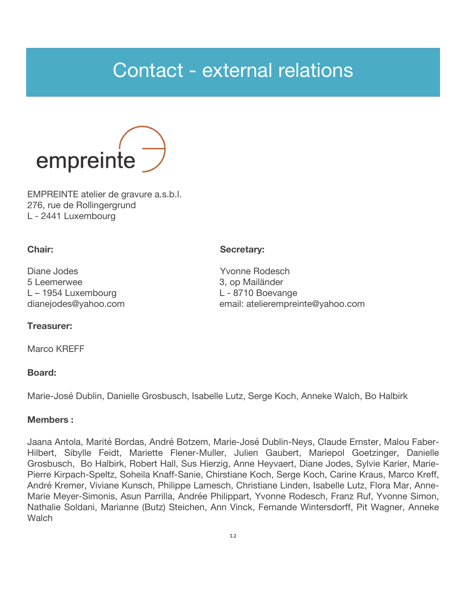### Contact - external relations



EMPREINTE atelier de gravure a.s.b.l. 276, rue de Rollingergrund L - 2441 Luxembourg

#### **Chair:** Secretary:

Diane Jodes **Yvonne Rodesch** 5 Leemerwee 3, op Mailänder L – 1954 Luxembourg L – 8710 Boevange dianejodes@yahoo.com email: atelierempreinte@yahoo.com

#### **Treasurer:**

Marco KRFFF

#### **Board:**

Marie-José Dublin, Danielle Grosbusch, Isabelle Lutz, Serge Koch, Anneke Walch, Bo Halbirk

#### **Members :**

Jaana Antola, Marité Bordas, André Botzem, Marie-José Dublin-Neys, Claude Ernster, Malou Faber-Hilbert, Sibylle Feidt, Mariette Flener-Muller, Julien Gaubert, Mariepol Goetzinger, Danielle Grosbusch, Bo Halbirk, Robert Hall, Sus Hierzig, Anne Heyvaert, Diane Jodes, Sylvie Karier, Marie-Pierre Kirpach-Speltz, Soheila Knaff-Sanie, Chirstiane Koch, Serge Koch, Carine Kraus, Marco Kreff, André Kremer, Viviane Kunsch, Philippe Lamesch, Christiane Linden, Isabelle Lutz, Flora Mar, Anne-Marie Meyer-Simonis, Asun Parrilla, Andrée Philippart, Yvonne Rodesch, Franz Ruf, Yvonne Simon, Nathalie Soldani, Marianne (Butz) Steichen, Ann Vinck, Fernande Wintersdorff, Pit Wagner, Anneke **Walch**